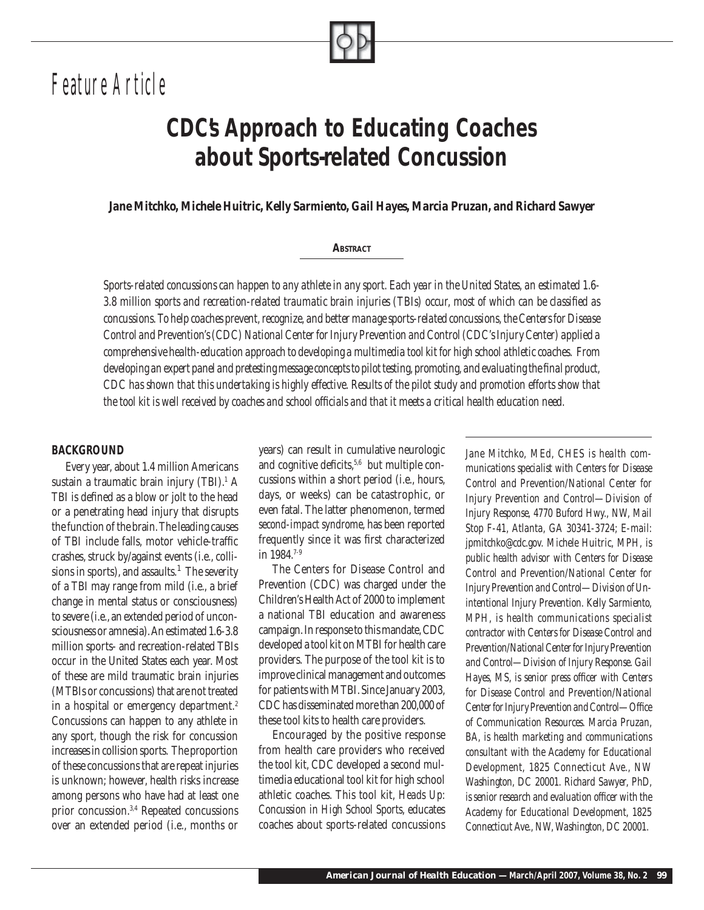*Feature Article*

# *CDC's Approach to Educating Coaches about Sports-related Concussion*

*Jane Mitchko, Michele Huitric, Kelly Sarmiento, Gail Hayes, Marcia Pruzan, and Richard Sawyer*

#### *ABSTRACT*

*Sports-related concussions can happen to any athlete in any sport. Each year in the United States, an estimated 1.6-* 3.8 million sports and recreation-related traumatic brain injuries (TBIs) occur, most of which can be classified as *concussions. To help coaches prevent, recognize, and better manage sports-related concussions, the Centers for Disease Control and Prevention's (CDC) National Center for Injury Prevention and Control (CDC's Injury Center) applied a comprehensive health-education approach to developing a multimedia tool kit for high school athletic coaches. From developing an expert panel and pretesting message concepts to pilot testing, promoting, and evaluating the final product, CDC has shown that this undertaking is highly effective. Results of the pilot study and promotion efforts show that*  the tool kit is well received by coaches and school officials and that it meets a critical health education need.

#### *BACKGROUND*

Every year, about 1.4 million Americans sustain a traumatic brain injury (TBI).<sup>1</sup> A TBI is defined as a blow or jolt to the head or a penetrating head injury that disrupts the function of the brain. The leading causes of TBI include falls, motor vehicle-traffic crashes, struck by/against events (i.e., collisions in sports), and assaults. $<sup>1</sup>$  The severity</sup> of a TBI may range from mild (i.e., a brief change in mental status or consciousness) to severe (i.e., an extended period of unconsciousness or amnesia). An estimated 1.6-3.8 million sports- and recreation-related TBIs occur in the United States each year. Most of these are mild traumatic brain injuries (MTBIs or concussions) that are not treated in a hospital or emergency department.<sup>2</sup> Concussions can happen to any athlete in any sport, though the risk for concussion increases in collision sports. The proportion of these concussions that are repeat injuries is unknown; however, health risks increase among persons who have had at least one prior concussion.3,4 Repeated concussions over an extended period (i.e., months or

years) can result in cumulative neurologic and cognitive deficits,  $5,6$  but multiple concussions within a short period (i.e., hours, days, or weeks) can be catastrophic, or even fatal. The latter phenomenon, termed *second-impact syndrome*, has been reported frequently since it was first characterized in 1984 $7-9$ 

The Centers for Disease Control and Prevention (CDC) was charged under the Children's Health Act of 2000 to implement a national TBI education and awareness campaign. In response to this mandate, CDC developed a tool kit on MTBI for health care providers. The purpose of the tool kit is to improve clinical management and outcomes for patients with MTBI. Since January 2003, CDC has disseminated more than 200,000 of these tool kits to health care providers.

Encouraged by the positive response from health care providers who received the tool kit, CDC developed a second multimedia educational tool kit for high school athletic coaches. This tool kit, *Heads Up: Concussion in High School Sports*, educates coaches about sports-related concussions

*Jane Mitchko, MEd, CHES is health communications specialist with Centers for Disease Control and Prevention/National Center for Injury Prevention and Control—Division of Injury Response, 4770 Buford Hwy., NW, Mail Stop F-41, Atlanta, GA 30341-3724; E-mail: jpmitchko@cdc.gov. Michele Huitric, MPH, is public health advisor with Centers for Disease Control and Prevention/National Center for Injury Prevention and Control—Division of Unintentional Injury Prevention. Kelly Sarmiento, MPH, is health communications specialist contractor with Centers for Disease Control and Prevention/National Center for Injury Prevention and Control—Division of Injury Response. Gail*  Hayes, MS, is senior press officer with Centers *for Disease Control and Prevention/National*  Center for Injury Prevention and Control-Office *of Communication Resources. Marcia Pruzan, BA, is health marketing and communications consultant with the Academy for Educational Development, 1825 Connecticut Ave., NW Washington, DC 20001. Richard Sawyer, PhD,*  is senior research and evaluation officer with the *Academy for Educational Development, 1825 Connecticut Ave., NW, Washington, DC 20001.*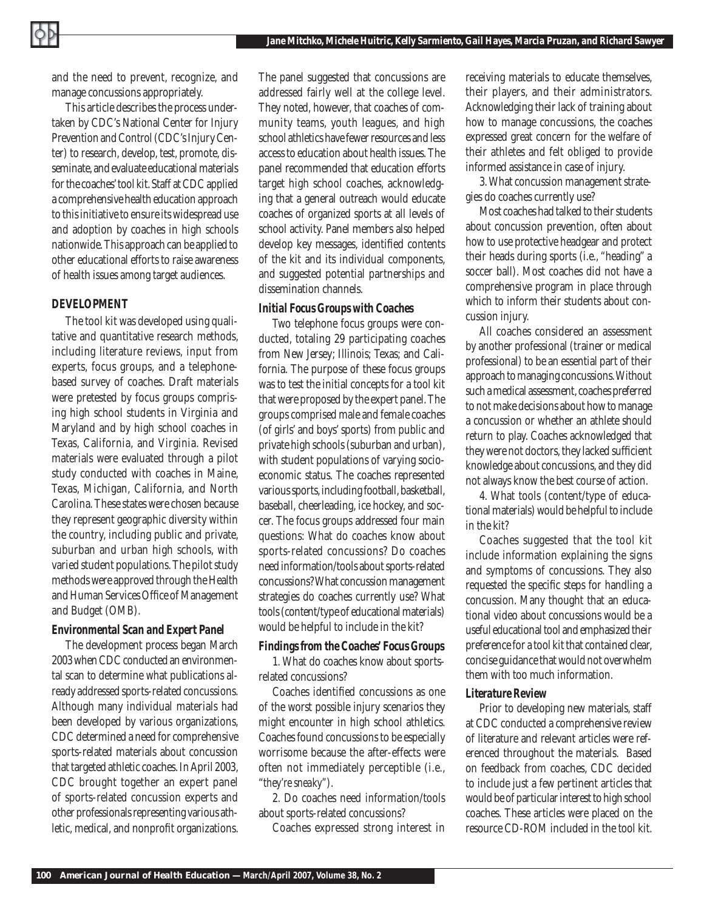and the need to prevent, recognize, and manage concussions appropriately.

This article describes the process undertaken by CDC's National Center for Injury Prevention and Control (CDC's Injury Center) to research, develop, test, promote, disseminate, and evaluate educational materials for the coaches' tool kit. Staff at CDC applied a comprehensive health education approach to this initiative to ensure its widespread use and adoption by coaches in high schools nationwide. This approach can be applied to other educational efforts to raise awareness of health issues among target audiences.

# *DEVELOPMENT*

The tool kit was developed using qualitative and quantitative research methods, including literature reviews, input from experts, focus groups, and a telephonebased survey of coaches. Draft materials were pretested by focus groups comprising high school students in Virginia and Maryland and by high school coaches in Texas, California, and Virginia. Revised materials were evaluated through a pilot study conducted with coaches in Maine, Texas, Michigan, California, and North Carolina. These states were chosen because they represent geographic diversity within the country, including public and private, suburban and urban high schools, with varied student populations. The pilot study methods were approved through the Health and Human Services Office of Management and Budget (OMB).

#### *Environmental Scan and Expert Panel*

The development process began March 2003 when CDC conducted an environmental scan to determine what publications already addressed sports-related concussions. Although many individual materials had been developed by various organizations, CDC determined a need for comprehensive sports-related materials about concussion that targeted athletic coaches. In April 2003, CDC brought together an expert panel of sports-related concussion experts and other professionals representing various athletic, medical, and nonprofit organizations. The panel suggested that concussions are addressed fairly well at the college level. They noted, however, that coaches of community teams, youth leagues, and high school athletics have fewer resources and less access to education about health issues. The panel recommended that education efforts target high school coaches, acknowledging that a general outreach would educate coaches of organized sports at all levels of school activity. Panel members also helped develop key messages, identified contents of the kit and its individual components, and suggested potential partnerships and dissemination channels.

# *Initial Focus Groups with Coaches*

Two telephone focus groups were conducted, totaling 29 participating coaches from New Jersey; Illinois; Texas; and California. The purpose of these focus groups was to test the initial concepts for a tool kit that were proposed by the expert panel. The groups comprised male and female coaches (of girls' and boys' sports) from public and private high schools (suburban and urban), with student populations of varying socioeconomic status. The coaches represented various sports, including football, basketball, baseball, cheerleading, ice hockey, and soccer. The focus groups addressed four main questions: What do coaches know about sports-related concussions? Do coaches need information/tools about sports-related concussions? What concussion management strategies do coaches currently use? What tools (content/type of educational materials) would be helpful to include in the kit?

#### *Findings from the Coaches' Focus Groups*

1. What do coaches know about sportsrelated concussions?

Coaches identified concussions as one of the worst possible injury scenarios they might encounter in high school athletics. Coaches found concussions to be especially worrisome because the after-effects were often not immediately perceptible (i.e., "*they're sneaky"*).

2. Do coaches need information/tools about sports-related concussions?

Coaches expressed strong interest in

receiving materials to educate themselves, their players, and their administrators. Acknowledging their lack of training about how to manage concussions, the coaches expressed great concern for the welfare of their athletes and felt obliged to provide informed assistance in case of injury.

3. What concussion management strategies do coaches currently use?

Most coaches had talked to their students about concussion prevention, often about how to use protective headgear and protect their heads during sports (i.e., "heading" a soccer ball). Most coaches did not have a comprehensive program in place through which to inform their students about concussion injury.

All coaches considered an assessment by another professional (trainer or medical professional) to be an essential part of their approach to managing concussions. Without such a medical assessment, coaches preferred to not make decisions about how to manage a concussion or whether an athlete should return to play. Coaches acknowledged that they were not doctors, they lacked sufficient knowledge about concussions, and they did not always know the best course of action.

4. What tools (content/type of educational materials) would be helpful to include in the kit?

Coaches suggested that the tool kit include information explaining the signs and symptoms of concussions. They also requested the specific steps for handling a concussion. Many thought that an educational video about concussions would be a useful educational tool and emphasized their preference for a tool kit that contained clear, concise guidance that would not overwhelm them with too much information.

#### *Literature Review*

Prior to developing new materials, staff at CDC conducted a comprehensive review of literature and relevant articles were referenced throughout the materials. Based on feedback from coaches, CDC decided to include just a few pertinent articles that would be of particular interest to high school coaches. These articles were placed on the resource CD-ROM included in the tool kit.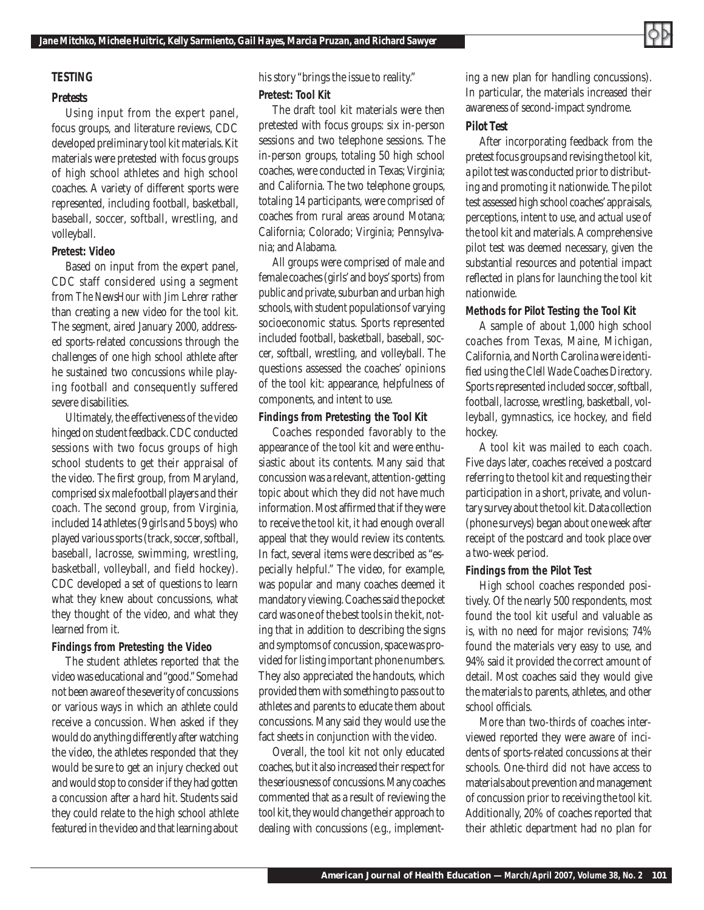# *TESTING*

#### *Pretests*

Using input from the expert panel, focus groups, and literature reviews, CDC developed preliminary tool kit materials. Kit materials were pretested with focus groups of high school athletes and high school coaches. A variety of different sports were represented, including football, basketball, baseball, soccer, softball, wrestling, and volleyball.

#### *Pretest: Video*

Based on input from the expert panel, CDC staff considered using a segment from *The NewsHour with Jim Lehrer* rather than creating a new video for the tool kit. The segment, aired January 2000, addressed sports-related concussions through the challenges of one high school athlete after he sustained two concussions while playing football and consequently suffered severe disabilities.

Ultimately, the effectiveness of the video hinged on student feedback. CDC conducted sessions with two focus groups of high school students to get their appraisal of the video. The first group, from Maryland, comprised six male football players and their coach. The second group, from Virginia, included 14 athletes (9 girls and 5 boys) who played various sports (track, soccer, softball, baseball, lacrosse, swimming, wrestling, basketball, volleyball, and field hockey). CDC developed a set of questions to learn what they knew about concussions, what they thought of the video, and what they learned from it.

#### *Findings from Pretesting the Video*

The student athletes reported that the video was educational and "good." Some had not been aware of the severity of concussions or various ways in which an athlete could receive a concussion. When asked if they would do anything differently after watching the video, the athletes responded that they would be sure to get an injury checked out and would stop to consider if they had gotten a concussion after a hard hit. Students said they could relate to the high school athlete featured in the video and that learning about his story "brings the issue to reality." *Pretest: Tool Kit*

The draft tool kit materials were then pretested with focus groups: six in-person sessions and two telephone sessions. The in-person groups, totaling 50 high school coaches, were conducted in Texas; Virginia; and California. The two telephone groups, totaling 14 participants, were comprised of coaches from rural areas around Motana; California; Colorado; Virginia; Pennsylvania; and Alabama.

All groups were comprised of male and female coaches (girls' and boys' sports) from public and private, suburban and urban high schools, with student populations of varying socioeconomic status. Sports represented included football, basketball, baseball, soccer, softball, wrestling, and volleyball. The questions assessed the coaches' opinions of the tool kit: appearance, helpfulness of components, and intent to use.

# *Findings from Pretesting the Tool Kit*

Coaches responded favorably to the appearance of the tool kit and were enthusiastic about its contents. Many said that concussion was a relevant, attention-getting topic about which they did not have much information. Most affirmed that if they were to receive the tool kit, it had enough overall appeal that they would review its contents. In fact, several items were described as "especially helpful." The video, for example, was popular and many coaches deemed it mandatory viewing. Coaches said the pocket card was one of the best tools in the kit, noting that in addition to describing the signs and symptoms of concussion, space was provided for listing important phone numbers. They also appreciated the handouts, which provided them with something to pass out to athletes and parents to educate them about concussions. Many said they would use the fact sheets in conjunction with the video.

Overall, the tool kit not only educated coaches, but it also increased their respect for the seriousness of concussions. Many coaches commented that as a result of reviewing the tool kit, they would change their approach to dealing with concussions (e.g., implement-

ing a new plan for handling concussions). In particular, the materials increased their awareness of second-impact syndrome.

#### *Pilot Test*

After incorporating feedback from the pretest focus groups and revising the tool kit, a pilot test was conducted prior to distributing and promoting it nationwide. The pilot test assessed high school coaches' appraisals, perceptions, intent to use, and actual use of the tool kit and materials. A comprehensive pilot test was deemed necessary, given the substantial resources and potential impact reflected in plans for launching the tool kit nationwide.

#### *Methods for Pilot Testing the Tool Kit*

A sample of about 1,000 high school coaches from Texas, Maine, Michigan, California, and North Carolina were identified using the *Clell Wade Coaches Directory*. Sports represented included soccer, softball, football, lacrosse, wrestling, basketball, volleyball, gymnastics, ice hockey, and field hockey.

A tool kit was mailed to each coach. Five days later, coaches received a postcard referring to the tool kit and requesting their participation in a short, private, and voluntary survey about the tool kit. Data collection (phone surveys) began about one week after receipt of the postcard and took place over a two-week period.

# *Findings from the Pilot Test*

High school coaches responded positively. Of the nearly 500 respondents, most found the tool kit useful and valuable as is, with no need for major revisions; 74% found the materials very easy to use, and 94% said it provided the correct amount of detail. Most coaches said they would give the materials to parents, athletes, and other school officials.

More than two-thirds of coaches interviewed reported they were aware of incidents of sports-related concussions at their schools. One-third did not have access to materials about prevention and management of concussion prior to receiving the tool kit. Additionally, 20% of coaches reported that their athletic department had no plan for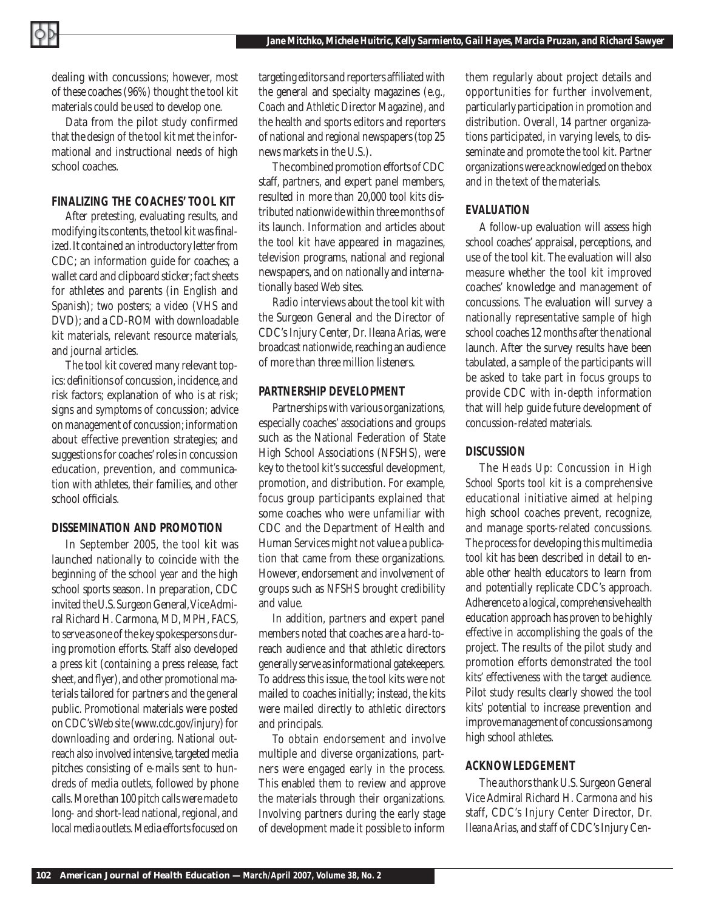dealing with concussions; however, most of these coaches (96%) thought the tool kit materials could be used to develop one.

Data from the pilot study confirmed that the design of the tool kit met the informational and instructional needs of high school coaches.

# *FINALIZING THE COACHES' TOOL KIT*

After pretesting, evaluating results, and modifying its contents, the tool kit was finalized. It contained an introductory letter from CDC; an information guide for coaches; a wallet card and clipboard sticker; fact sheets for athletes and parents (in English and Spanish); two posters; a video (VHS and DVD); and a CD-ROM with downloadable kit materials, relevant resource materials, and journal articles.

The tool kit covered many relevant topics: definitions of concussion, incidence, and risk factors; explanation of who is at risk; signs and symptoms of concussion; advice on management of concussion; information about effective prevention strategies; and suggestions for coaches' roles in concussion education, prevention, and communication with athletes, their families, and other school officials.

# *DISSEMINATION AND PROMOTION*

In September 2005, the tool kit was launched nationally to coincide with the beginning of the school year and the high school sports season. In preparation, CDC invited the U.S. Surgeon General, Vice Admiral Richard H. Carmona, MD, MPH, FACS, to serve as one of the key spokespersons during promotion efforts. Staff also developed a press kit (containing a press release, fact sheet, and flyer), and other promotional materials tailored for partners and the general public. Promotional materials were posted on CDC's Web site (www.cdc.gov/injury) for downloading and ordering. National outreach also involved intensive, targeted media pitches consisting of e-mails sent to hundreds of media outlets, followed by phone calls. More than 100 pitch calls were made to long- and short-lead national, regional, and local media outlets. Media efforts focused on

targeting editors and reporters affiliated with the general and specialty magazines (e.g., *Coach* and *Athletic Director Magazine*), and the health and sports editors and reporters of national and regional newspapers (top 25 news markets in the U.S.).

The combined promotion efforts of CDC staff, partners, and expert panel members, resulted in more than 20,000 tool kits distributed nationwide within three months of its launch. Information and articles about the tool kit have appeared in magazines, television programs, national and regional newspapers, and on nationally and internationally based Web sites.

Radio interviews about the tool kit with the Surgeon General and the Director of CDC's Injury Center, Dr. Ileana Arias, were broadcast nationwide, reaching an audience of more than three million listeners.

# *PARTNERSHIP DEVELOPMENT*

Partnerships with various organizations, especially coaches' associations and groups such as the National Federation of State High School Associations (NFSHS), were key to the tool kit's successful development, promotion, and distribution. For example, focus group participants explained that some coaches who were unfamiliar with CDC and the Department of Health and Human Services might not value a publication that came from these organizations. However, endorsement and involvement of groups such as NFSHS brought credibility and value.

In addition, partners and expert panel members noted that coaches are a hard-toreach audience and that athletic directors generally serve as informational gatekeepers. To address this issue, the tool kits were not mailed to coaches initially; instead, the kits were mailed directly to athletic directors and principals.

To obtain endorsement and involve multiple and diverse organizations, partners were engaged early in the process. This enabled them to review and approve the materials through their organizations. Involving partners during the early stage of development made it possible to inform

them regularly about project details and opportunities for further involvement, particularly participation in promotion and distribution. Overall, 14 partner organizations participated, in varying levels, to disseminate and promote the tool kit. Partner organizations were acknowledged on the box and in the text of the materials.

# *EVALUATION*

A follow-up evaluation will assess high school coaches' appraisal, perceptions, and use of the tool kit. The evaluation will also measure whether the tool kit improved coaches' knowledge and management of concussions. The evaluation will survey a nationally representative sample of high school coaches 12 months after the national launch. After the survey results have been tabulated, a sample of the participants will be asked to take part in focus groups to provide CDC with in-depth information that will help guide future development of concussion-related materials.

# *DISCUSSION*

The *Heads Up: Concussion in High School Sports* tool kit is a comprehensive educational initiative aimed at helping high school coaches prevent, recognize, and manage sports-related concussions. The process for developing this multimedia tool kit has been described in detail to enable other health educators to learn from and potentially replicate CDC's approach. Adherence to a logical, comprehensive health education approach has proven to be highly effective in accomplishing the goals of the project. The results of the pilot study and promotion efforts demonstrated the tool kits' effectiveness with the target audience. Pilot study results clearly showed the tool kits' potential to increase prevention and improve management of concussions among high school athletes.

# *ACKNOWLEDGEMENT*

The authors thank U.S. Surgeon General Vice Admiral Richard H. Carmona and his staff, CDC's Injury Center Director, Dr. Ileana Arias, and staff of CDC's Injury Cen-